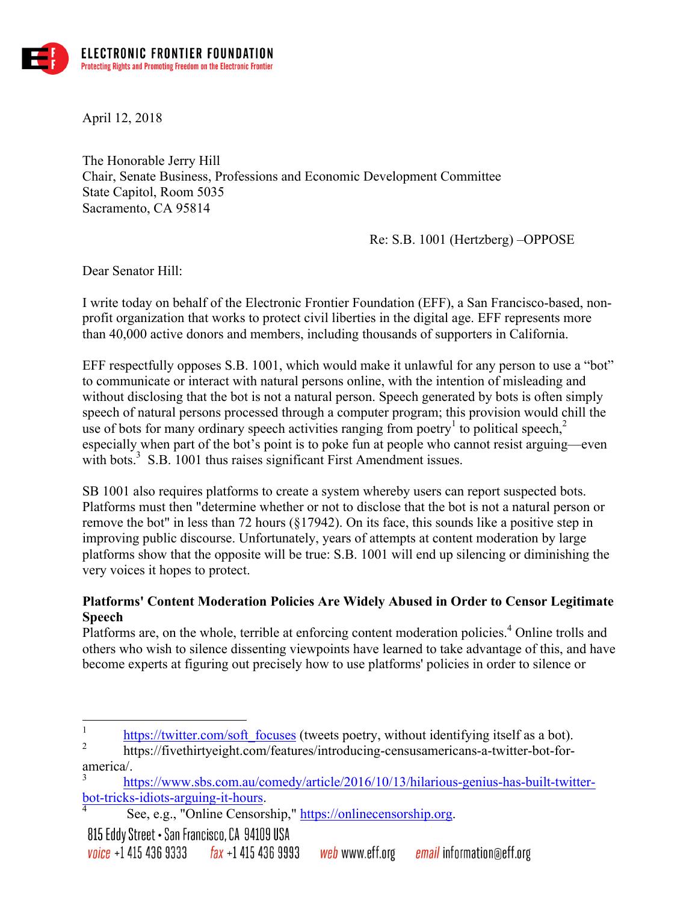

April 12, 2018

The Honorable Jerry Hill Chair, Senate Business, Professions and Economic Development Committee State Capitol, Room 5035 Sacramento, CA 95814

Re: S.B. 1001 (Hertzberg) –OPPOSE

Dear Senator Hill:

I write today on behalf of the Electronic Frontier Foundation (EFF), a San Francisco-based, nonprofit organization that works to protect civil liberties in the digital age. EFF represents more than 40,000 active donors and members, including thousands of supporters in California.

EFF respectfully opposes S.B. 1001, which would make it unlawful for any person to use a "bot" to communicate or interact with natural persons online, with the intention of misleading and without disclosing that the bot is not a natural person. Speech generated by bots is often simply speech of natural persons processed through a computer program; this provision would chill the use of bots for many ordinary speech activities ranging from poetry<sup>1</sup> to political speech,<sup>2</sup> especially when part of the bot's point is to poke fun at people who cannot resist arguing—even with bots.<sup>3</sup> S.B. 1001 thus raises significant First Amendment issues.

SB 1001 also requires platforms to create a system whereby users can report suspected bots. Platforms must then "determine whether or not to disclose that the bot is not a natural person or remove the bot" in less than 72 hours (§17942). On its face, this sounds like a positive step in improving public discourse. Unfortunately, years of attempts at content moderation by large platforms show that the opposite will be true: S.B. 1001 will end up silencing or diminishing the very voices it hopes to protect.

## **Platforms' Content Moderation Policies Are Widely Abused in Order to Censor Legitimate Speech**

Platforms are, on the whole, terrible at enforcing content moderation policies.<sup>4</sup> Online trolls and others who wish to silence dissenting viewpoints have learned to take advantage of this, and have become experts at figuring out precisely how to use platforms' policies in order to silence or

 $\frac{1}{2}$  https://twitter.com/soft\_focuses (tweets poetry, without identifying itself as a bot).

<sup>2</sup> https://fivethirtyeight.com/features/introducing-censusamericans-a-twitter-bot-foramerica/.

https://www.sbs.com.au/comedy/article/2016/10/13/hilarious-genius-has-built-twitterbot-tricks-idiots-arguing-it-hours.<br>
<sup>4</sup> See, e.g., "Online Censorship," https://onlinecensorship.org.

<sup>815</sup> Eddy Street • San Francisco, CA 94109 USA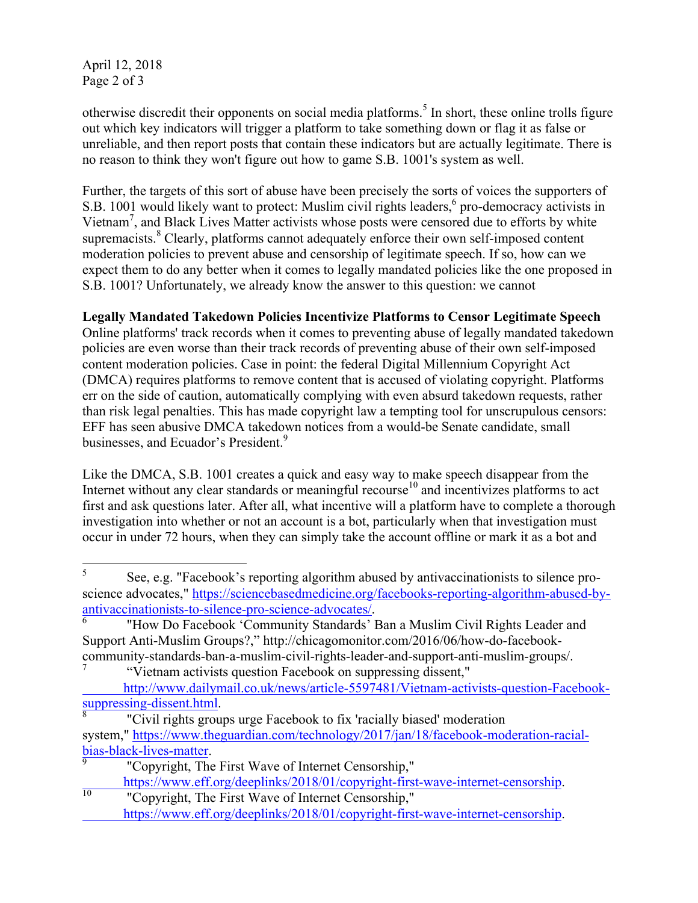April 12, 2018 Page 2 of 3

otherwise discredit their opponents on social media platforms.<sup>5</sup> In short, these online trolls figure out which key indicators will trigger a platform to take something down or flag it as false or unreliable, and then report posts that contain these indicators but are actually legitimate. There is no reason to think they won't figure out how to game S.B. 1001's system as well.

Further, the targets of this sort of abuse have been precisely the sorts of voices the supporters of S.B. 1001 would likely want to protect: Muslim civil rights leaders,<sup>6</sup> pro-democracy activists in Vietnam<sup>7</sup>, and Black Lives Matter activists whose posts were censored due to efforts by white supremacists.<sup>8</sup> Clearly, platforms cannot adequately enforce their own self-imposed content moderation policies to prevent abuse and censorship of legitimate speech. If so, how can we expect them to do any better when it comes to legally mandated policies like the one proposed in S.B. 1001? Unfortunately, we already know the answer to this question: we cannot

**Legally Mandated Takedown Policies Incentivize Platforms to Censor Legitimate Speech**

Online platforms' track records when it comes to preventing abuse of legally mandated takedown policies are even worse than their track records of preventing abuse of their own self-imposed content moderation policies. Case in point: the federal Digital Millennium Copyright Act (DMCA) requires platforms to remove content that is accused of violating copyright. Platforms err on the side of caution, automatically complying with even absurd takedown requests, rather than risk legal penalties. This has made copyright law a tempting tool for unscrupulous censors: EFF has seen abusive DMCA takedown notices from a would-be Senate candidate, small businesses, and Ecuador's President.<sup>9</sup>

Like the DMCA, S.B. 1001 creates a quick and easy way to make speech disappear from the Internet without any clear standards or meaningful recourse<sup>10</sup> and incentivizes platforms to act first and ask questions later. After all, what incentive will a platform have to complete a thorough investigation into whether or not an account is a bot, particularly when that investigation must occur in under 72 hours, when they can simply take the account offline or mark it as a bot and

 <sup>5</sup> See, e.g. "Facebook's reporting algorithm abused by antivaccinationists to silence proscience advocates," https://sciencebasedmedicine.org/facebooks-reporting-algorithm-abused-byantivaccinationists-to-silence-pro-science-advocates/.<br><sup>6</sup> "How Do Facebook 'Community Standards' Ban a Muslim Civil Rights Leader and

Support Anti-Muslim Groups?," http://chicagomonitor.com/2016/06/how-do-facebookcommunity-standards-ban-a-muslim-civil-rights-leader-and-support-anti-muslim-groups/.

<sup>&</sup>quot;Vietnam activists question Facebook on suppressing dissent," http://www.dailymail.co.uk/news/article-5597481/Vietnam-activists-question-Facebook-<br>suppressing-dissent.html.

<sup>&</sup>quot;Civil rights groups urge Facebook to fix 'racially biased' moderation system," https://www.theguardian.com/technology/2017/jan/18/facebook-moderation-racial- $\frac{\text{bias-black-lives-matter}}{\text{9}}$ . "Copyright, The First Wave of Internet Censorship,"

https://www.eff.org/deeplinks/2018/01/copyright-first-wave-internet-censorship.<br><sup>10</sup> "Copyright, The First Wave of Internet Censorship," https://www.eff.org/deeplinks/2018/01/copyright-first-wave-internet-censorship.